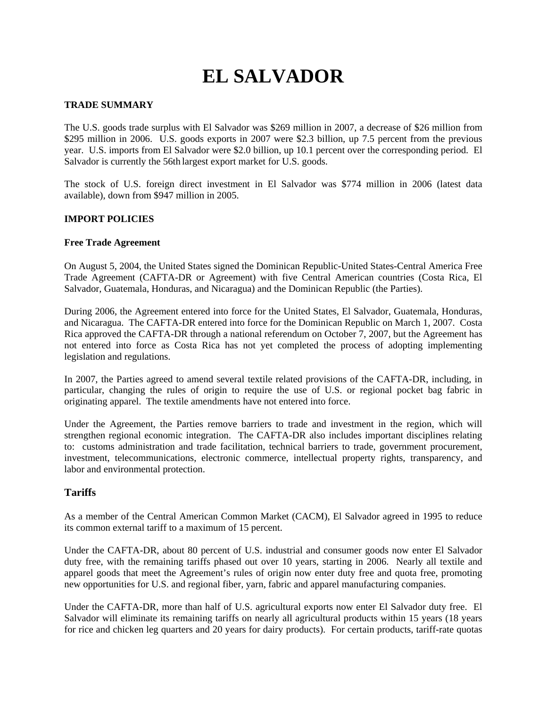# **EL SALVADOR**

### **TRADE SUMMARY**

The U.S. goods trade surplus with El Salvador was \$269 million in 2007, a decrease of \$26 million from \$295 million in 2006. U.S. goods exports in 2007 were \$2.3 billion, up 7.5 percent from the previous year. U.S. imports from El Salvador were \$2.0 billion, up 10.1 percent over the corresponding period. El Salvador is currently the 56th largest export market for U.S. goods.

The stock of U.S. foreign direct investment in El Salvador was \$774 million in 2006 (latest data available), down from \$947 million in 2005.

## **IMPORT POLICIES**

### **Free Trade Agreement**

On August 5, 2004, the United States signed the Dominican Republic-United States-Central America Free Trade Agreement (CAFTA-DR or Agreement) with five Central American countries (Costa Rica, El Salvador, Guatemala, Honduras, and Nicaragua) and the Dominican Republic (the Parties).

During 2006, the Agreement entered into force for the United States, El Salvador, Guatemala, Honduras, and Nicaragua. The CAFTA-DR entered into force for the Dominican Republic on March 1, 2007. Costa Rica approved the CAFTA-DR through a national referendum on October 7, 2007, but the Agreement has not entered into force as Costa Rica has not yet completed the process of adopting implementing legislation and regulations.

In 2007, the Parties agreed to amend several textile related provisions of the CAFTA-DR, including, in particular, changing the rules of origin to require the use of U.S. or regional pocket bag fabric in originating apparel. The textile amendments have not entered into force.

Under the Agreement, the Parties remove barriers to trade and investment in the region, which will strengthen regional economic integration. The CAFTA-DR also includes important disciplines relating to: customs administration and trade facilitation, technical barriers to trade, government procurement, investment, telecommunications, electronic commerce, intellectual property rights, transparency, and labor and environmental protection.

## **Tariffs**

As a member of the Central American Common Market (CACM), El Salvador agreed in 1995 to reduce its common external tariff to a maximum of 15 percent.

Under the CAFTA-DR, about 80 percent of U.S. industrial and consumer goods now enter El Salvador duty free, with the remaining tariffs phased out over 10 years, starting in 2006. Nearly all textile and apparel goods that meet the Agreement's rules of origin now enter duty free and quota free, promoting new opportunities for U.S. and regional fiber, yarn, fabric and apparel manufacturing companies.

Under the CAFTA-DR, more than half of U.S. agricultural exports now enter El Salvador duty free. El Salvador will eliminate its remaining tariffs on nearly all agricultural products within 15 years (18 years for rice and chicken leg quarters and 20 years for dairy products). For certain products, tariff-rate quotas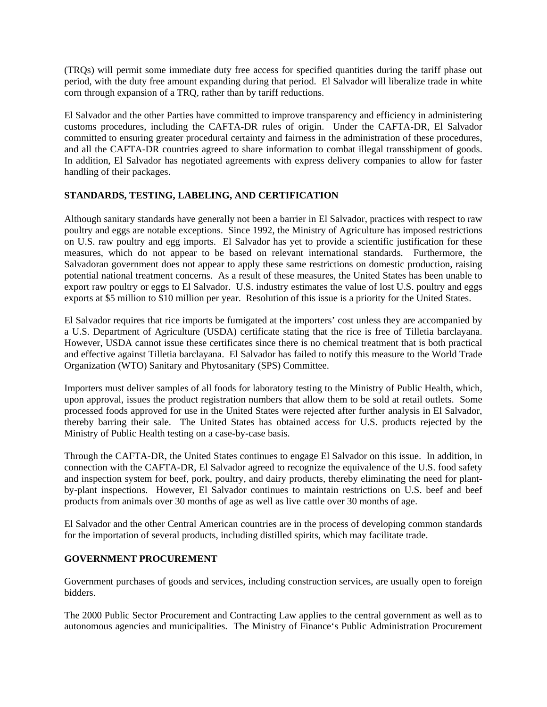(TRQs) will permit some immediate duty free access for specified quantities during the tariff phase out period, with the duty free amount expanding during that period. El Salvador will liberalize trade in white corn through expansion of a TRQ, rather than by tariff reductions.

El Salvador and the other Parties have committed to improve transparency and efficiency in administering customs procedures, including the CAFTA-DR rules of origin. Under the CAFTA-DR, El Salvador committed to ensuring greater procedural certainty and fairness in the administration of these procedures, and all the CAFTA-DR countries agreed to share information to combat illegal transshipment of goods. In addition, El Salvador has negotiated agreements with express delivery companies to allow for faster handling of their packages.

### **STANDARDS, TESTING, LABELING, AND CERTIFICATION**

Although sanitary standards have generally not been a barrier in El Salvador, practices with respect to raw poultry and eggs are notable exceptions. Since 1992, the Ministry of Agriculture has imposed restrictions on U.S. raw poultry and egg imports. El Salvador has yet to provide a scientific justification for these measures, which do not appear to be based on relevant international standards. Furthermore, the Salvadoran government does not appear to apply these same restrictions on domestic production, raising potential national treatment concerns. As a result of these measures, the United States has been unable to export raw poultry or eggs to El Salvador. U.S. industry estimates the value of lost U.S. poultry and eggs exports at \$5 million to \$10 million per year. Resolution of this issue is a priority for the United States.

El Salvador requires that rice imports be fumigated at the importers' cost unless they are accompanied by a U.S. Department of Agriculture (USDA) certificate stating that the rice is free of Tilletia barclayana. However, USDA cannot issue these certificates since there is no chemical treatment that is both practical and effective against Tilletia barclayana. El Salvador has failed to notify this measure to the World Trade Organization (WTO) Sanitary and Phytosanitary (SPS) Committee.

Importers must deliver samples of all foods for laboratory testing to the Ministry of Public Health, which, upon approval, issues the product registration numbers that allow them to be sold at retail outlets. Some processed foods approved for use in the United States were rejected after further analysis in El Salvador, thereby barring their sale. The United States has obtained access for U.S. products rejected by the Ministry of Public Health testing on a case-by-case basis.

Through the CAFTA-DR, the United States continues to engage El Salvador on this issue. In addition, in connection with the CAFTA-DR, El Salvador agreed to recognize the equivalence of the U.S. food safety and inspection system for beef, pork, poultry, and dairy products, thereby eliminating the need for plantby-plant inspections. However, El Salvador continues to maintain restrictions on U.S. beef and beef products from animals over 30 months of age as well as live cattle over 30 months of age.

El Salvador and the other Central American countries are in the process of developing common standards for the importation of several products, including distilled spirits, which may facilitate trade.

### **GOVERNMENT PROCUREMENT**

Government purchases of goods and services, including construction services, are usually open to foreign bidders.

The 2000 Public Sector Procurement and Contracting Law applies to the central government as well as to autonomous agencies and municipalities. The Ministry of Finance's Public Administration Procurement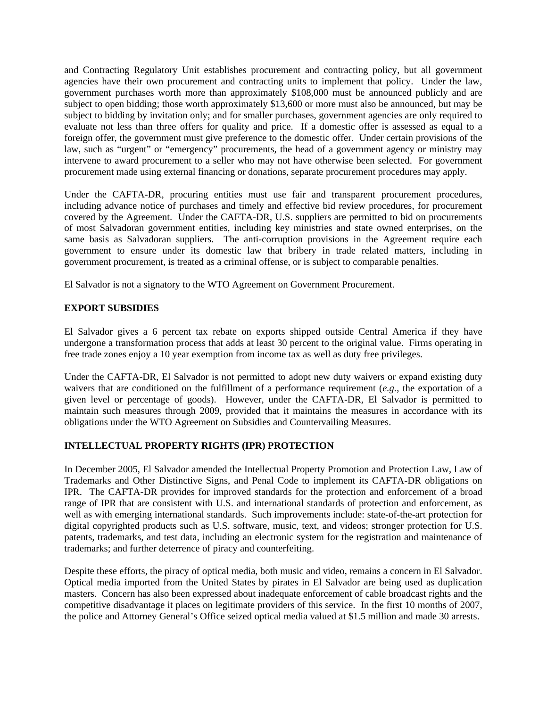and Contracting Regulatory Unit establishes procurement and contracting policy, but all government agencies have their own procurement and contracting units to implement that policy. Under the law, government purchases worth more than approximately \$108,000 must be announced publicly and are subject to open bidding; those worth approximately \$13,600 or more must also be announced, but may be subject to bidding by invitation only; and for smaller purchases, government agencies are only required to evaluate not less than three offers for quality and price. If a domestic offer is assessed as equal to a foreign offer, the government must give preference to the domestic offer. Under certain provisions of the law, such as "urgent" or "emergency" procurements, the head of a government agency or ministry may intervene to award procurement to a seller who may not have otherwise been selected. For government procurement made using external financing or donations, separate procurement procedures may apply.

Under the CAFTA-DR, procuring entities must use fair and transparent procurement procedures, including advance notice of purchases and timely and effective bid review procedures, for procurement covered by the Agreement. Under the CAFTA-DR, U.S. suppliers are permitted to bid on procurements of most Salvadoran government entities, including key ministries and state owned enterprises, on the same basis as Salvadoran suppliers. The anti-corruption provisions in the Agreement require each government to ensure under its domestic law that bribery in trade related matters, including in government procurement, is treated as a criminal offense, or is subject to comparable penalties.

El Salvador is not a signatory to the WTO Agreement on Government Procurement.

### **EXPORT SUBSIDIES**

El Salvador gives a 6 percent tax rebate on exports shipped outside Central America if they have undergone a transformation process that adds at least 30 percent to the original value. Firms operating in free trade zones enjoy a 10 year exemption from income tax as well as duty free privileges.

Under the CAFTA-DR, El Salvador is not permitted to adopt new duty waivers or expand existing duty waivers that are conditioned on the fulfillment of a performance requirement (*e.g.*, the exportation of a given level or percentage of goods). However, under the CAFTA-DR, El Salvador is permitted to maintain such measures through 2009, provided that it maintains the measures in accordance with its obligations under the WTO Agreement on Subsidies and Countervailing Measures.

### **INTELLECTUAL PROPERTY RIGHTS (IPR) PROTECTION**

In December 2005, El Salvador amended the Intellectual Property Promotion and Protection Law, Law of Trademarks and Other Distinctive Signs, and Penal Code to implement its CAFTA-DR obligations on IPR. The CAFTA-DR provides for improved standards for the protection and enforcement of a broad range of IPR that are consistent with U.S. and international standards of protection and enforcement, as well as with emerging international standards. Such improvements include: state-of-the-art protection for digital copyrighted products such as U.S. software, music, text, and videos; stronger protection for U.S. patents, trademarks, and test data, including an electronic system for the registration and maintenance of trademarks; and further deterrence of piracy and counterfeiting.

Despite these efforts, the piracy of optical media, both music and video, remains a concern in El Salvador. Optical media imported from the United States by pirates in El Salvador are being used as duplication masters. Concern has also been expressed about inadequate enforcement of cable broadcast rights and the competitive disadvantage it places on legitimate providers of this service. In the first 10 months of 2007, the police and Attorney General's Office seized optical media valued at \$1.5 million and made 30 arrests.